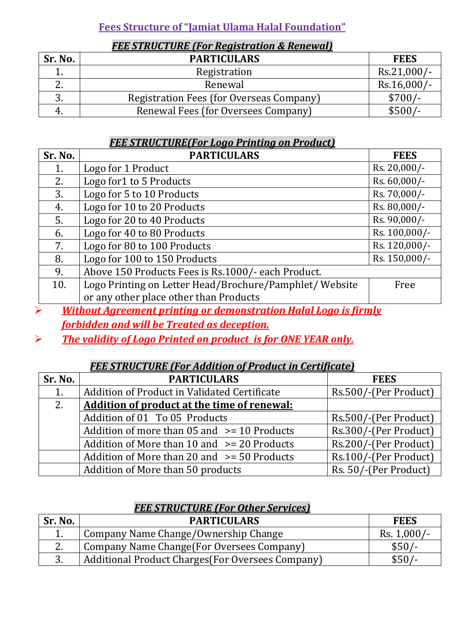## **Fees Structure of "Jamiat Ulama Halal Foundation"**

| <u>FEE STRUCTURE FOI REGISTIQUOIL &amp; REHEWALL</u> |                                          |               |  |  |
|------------------------------------------------------|------------------------------------------|---------------|--|--|
| Sr. No.                                              | <b>PARTICULARS</b>                       | <b>FEES</b>   |  |  |
|                                                      | Registration                             | $Rs.21,000/-$ |  |  |
|                                                      | Renewal                                  | $Rs.16,000/-$ |  |  |
| J.                                                   | Registration Fees (for Overseas Company) | $$700/-$      |  |  |
|                                                      | Renewal Fees (for Oversees Company)      | $$500/-$      |  |  |

# *FEE STRUCTURE (For Registration & Renewal)*

#### *FEE STRUCTURE(For Logo Printing on Product)*

| Sr. No. | <b>PARTICULARS</b>                                      | <b>FEES</b>   |
|---------|---------------------------------------------------------|---------------|
| 1.      | Logo for 1 Product                                      | Rs. 20,000/-  |
| 2.      | Logo for1 to 5 Products                                 | Rs. 60,000/-  |
| 3.      | Logo for 5 to 10 Products                               | Rs. 70,000/-  |
| 4.      | Logo for 10 to 20 Products                              | Rs. 80,000/-  |
| 5.      | Logo for 20 to 40 Products                              | Rs. 90,000/-  |
| 6.      | Logo for 40 to 80 Products                              | Rs. 100,000/- |
| 7.      | Logo for 80 to 100 Products                             | Rs. 120,000/- |
| 8.      | Logo for 100 to 150 Products                            | Rs. 150,000/- |
| 9.      | Above 150 Products Fees is Rs.1000/- each Product.      |               |
| 10.     | Logo Printing on Letter Head/Brochure/Pamphlet/ Website | Free          |
|         | or any other place other than Products                  |               |

- *Without Agreement printing or demonstration Halal Logo is firmly forbidden and will be Treated as deception.*
- *The validity of Logo Printed on product is for ONE YEAR only.*

## *FEE STRUCTURE (For Addition of Product in Certificate)*

| Sr. No. | <b>PARTICULARS</b>                                 | <b>FEES</b>           |
|---------|----------------------------------------------------|-----------------------|
| 1.      | Addition of Product in Validated Certificate       | Rs.500/-(Per Product) |
| 2.      | <b>Addition of product at the time of renewal:</b> |                       |
|         | Addition of 01 To 05 Products                      | Rs.500/-(Per Product) |
|         | Addition of more than $05$ and $\geq 10$ Products  | Rs.300/-(Per Product) |
|         | Addition of More than $10$ and $\geq 20$ Products  | Rs.200/-(Per Product) |
|         | Addition of More than 20 and $\ge$ = 50 Products   | Rs.100/-(Per Product) |
|         | Addition of More than 50 products                  | Rs. 50/-(Per Product) |

| <b>FEE STRUCTURE (For Other Services)</b> |                                                   |               |  |
|-------------------------------------------|---------------------------------------------------|---------------|--|
| Sr. No.                                   | <b>PARTICULARS</b>                                | <b>FEES</b>   |  |
|                                           | Company Name Change/Ownership Change              | $Rs. 1,000/-$ |  |
| $\mathcal{P}$                             | Company Name Change (For Oversees Company)        | $$50/-$       |  |
| 3.                                        | Additional Product Charges (For Oversees Company) | $$50/-$       |  |